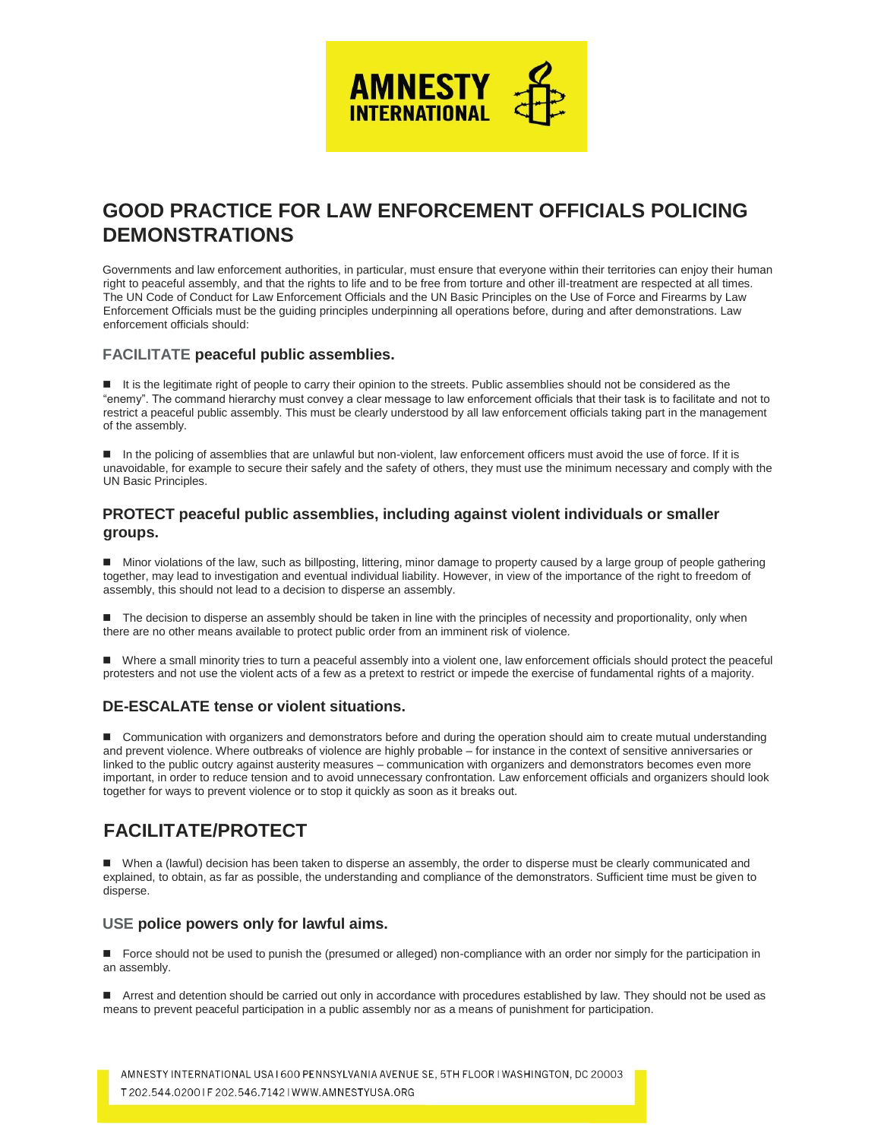

# **GOOD PRACTICE FOR LAW ENFORCEMENT OFFICIALS POLICING DEMONSTRATIONS**

Governments and law enforcement authorities, in particular, must ensure that everyone within their territories can enjoy their human right to peaceful assembly, and that the rights to life and to be free from torture and other ill-treatment are respected at all times. The UN Code of Conduct for Law Enforcement Officials and the UN Basic Principles on the Use of Force and Firearms by Law Enforcement Officials must be the guiding principles underpinning all operations before, during and after demonstrations. Law enforcement officials should:

### **FACILITATE peaceful public assemblies.**

It is the legitimate right of people to carry their opinion to the streets. Public assemblies should not be considered as the "enemy". The command hierarchy must convey a clear message to law enforcement officials that their task is to facilitate and not to restrict a peaceful public assembly. This must be clearly understood by all law enforcement officials taking part in the management of the assembly.

In the policing of assemblies that are unlawful but non-violent, law enforcement officers must avoid the use of force. If it is unavoidable, for example to secure their safely and the safety of others, they must use the minimum necessary and comply with the UN Basic Principles.

## **PROTECT peaceful public assemblies, including against violent individuals or smaller groups.**

 Minor violations of the law, such as billposting, littering, minor damage to property caused by a large group of people gathering together, may lead to investigation and eventual individual liability. However, in view of the importance of the right to freedom of assembly, this should not lead to a decision to disperse an assembly.

The decision to disperse an assembly should be taken in line with the principles of necessity and proportionality, only when there are no other means available to protect public order from an imminent risk of violence.

 Where a small minority tries to turn a peaceful assembly into a violent one, law enforcement officials should protect the peaceful protesters and not use the violent acts of a few as a pretext to restrict or impede the exercise of fundamental rights of a majority.

### **DE-ESCALATE tense or violent situations.**

**Communication with organizers and demonstrators before and during the operation should aim to create mutual understanding** and prevent violence. Where outbreaks of violence are highly probable – for instance in the context of sensitive anniversaries or linked to the public outcry against austerity measures – communication with organizers and demonstrators becomes even more important, in order to reduce tension and to avoid unnecessary confrontation. Law enforcement officials and organizers should look together for ways to prevent violence or to stop it quickly as soon as it breaks out.

# **FACILITATE/PROTECT**

When a (lawful) decision has been taken to disperse an assembly, the order to disperse must be clearly communicated and explained, to obtain, as far as possible, the understanding and compliance of the demonstrators. Sufficient time must be given to disperse.

### **USE police powers only for lawful aims.**

■ Force should not be used to punish the (presumed or alleged) non-compliance with an order nor simply for the participation in an assembly.

Arrest and detention should be carried out only in accordance with procedures established by law. They should not be used as means to prevent peaceful participation in a public assembly nor as a means of punishment for participation.

AMNESTY INTERNATIONAL USA I 600 PENNSYLVANIA AVENUE SE, 5TH FLOOR I WASHINGTON, DC 20003 T 202.544.02001F 202.546.71421WWW.AMNESTYUSA.ORG